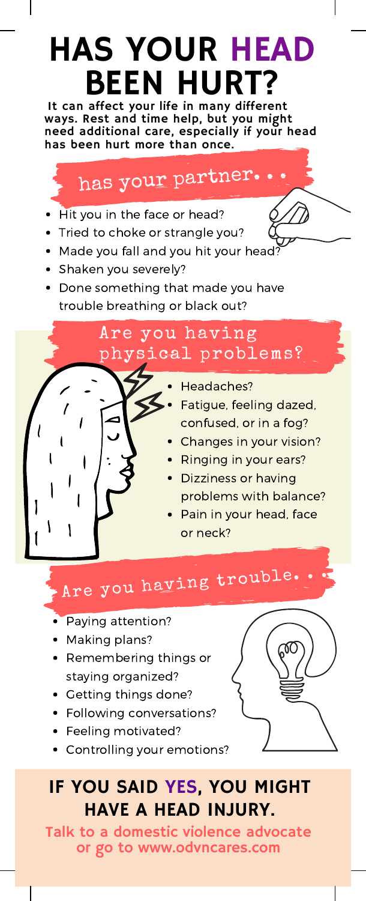# HAS YOUR HEAD BEEN HURT?

It can affect your life in many different ways. Rest and time help, but you might need additional care, especially if your head has been hurt more than once.

# has your partner.

- Hit you in the face or head?
- Tried to choke or strangle you?
- Made you fall and you hit your head?
- Shaken you severely?
- Done something that made you have trouble breathing or black out?

### Are you having physical problems?

- Headaches?
- Fatigue, feeling dazed, confused, or in a fog?
- Changes in your vision?
- Ringing in your ears?
- Dizziness or having problems with balance?
- Pain in your head, face or neck?

Are you having trouble.

- Paying attention?
- Making plans?
- Remembering things or staying organized?
- Getting things done?
- Following conversations?
- Feeling motivated?
- Controlling your emotions?

## IF YOU SAID YES, YOU MIGHT HAVE A HEAD INJURY.

Talk to a domestic violence advocate or go to www.odvncares.com